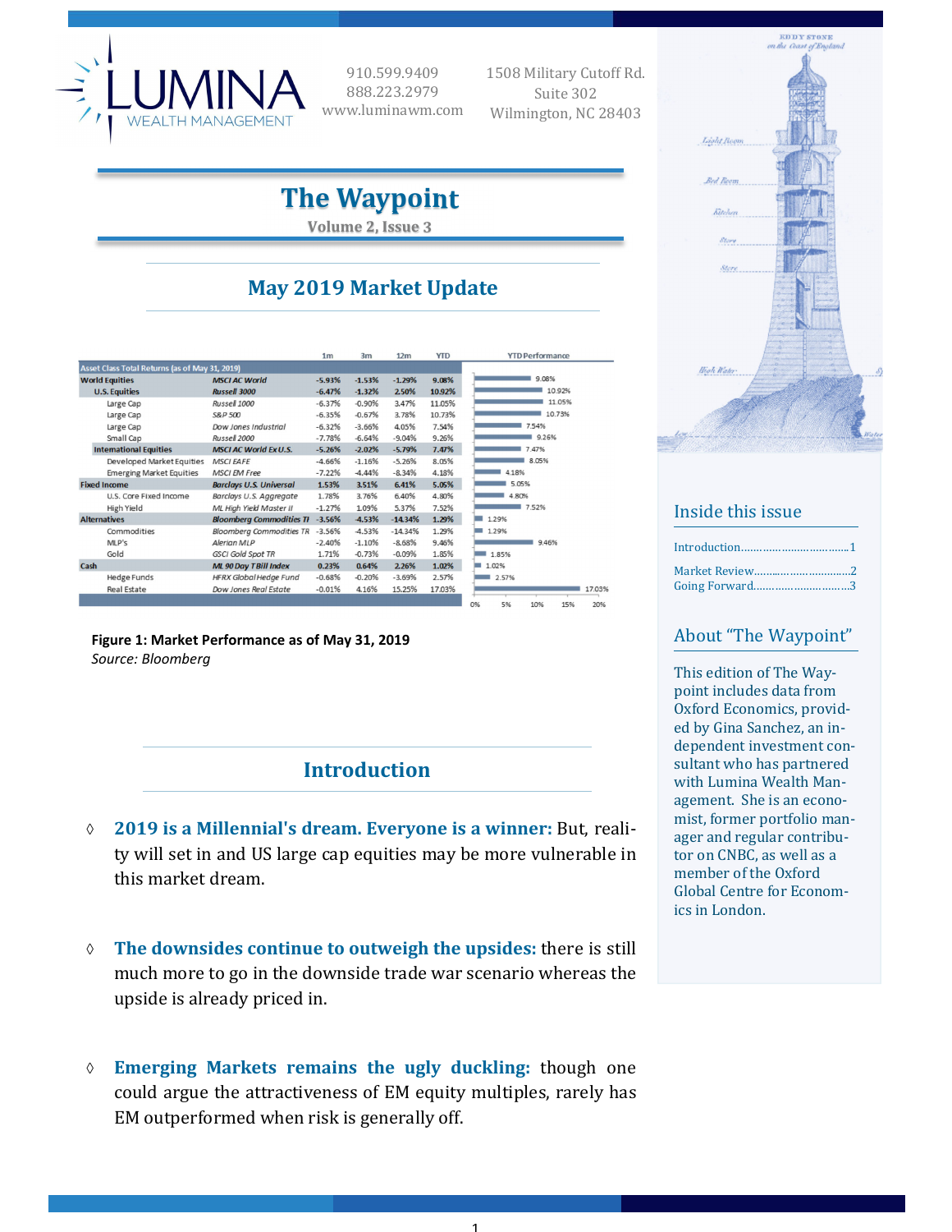

910.599.9409 888.223.2979 www.luminawm.com  1508 Military Cutoff Rd. Suite 302 Wilmington, NC 28403

# **The Waypoint**

**Volume 2, Issue 3**

## **May 2019 Market Update**

|                       |                                                |                                 | 1 <sub>m</sub> | 3m       | 12 <sub>m</sub> | <b>YTD</b> | <b>YTD Performance</b>        |
|-----------------------|------------------------------------------------|---------------------------------|----------------|----------|-----------------|------------|-------------------------------|
|                       | Asset Class Total Returns (as of May 31, 2019) |                                 |                |          |                 |            |                               |
| <b>World Equities</b> |                                                | <b>MSCI AC World</b>            | $-5.93%$       | $-1.53%$ | $-1.29%$        | 9.08%      | 9.08%                         |
| <b>U.S. Equities</b>  |                                                | <b>Russell 3000</b>             | $-6.47%$       | $-1.32%$ | 2.50%           | 10.92%     | 10.92%                        |
|                       | Large Cap                                      | Russell 1000                    | $-6.37%$       | $-0.90%$ | 3.47%           | 11.05%     | 11.05%                        |
|                       | Large Cap                                      | S&P 500                         | $-6.35%$       | $-0.67%$ | 3.78%           | 10.73%     | 10.73%                        |
|                       | Large Cap                                      | Dow Jones Industrial            | $-6.32%$       | $-3.66%$ | 4.05%           | 7.54%      | 7.54%                         |
|                       | Small Cap                                      | Russell 2000                    | $-7.78%$       | $-6.64%$ | $-9.04%$        | 9.26%      | 9.26%                         |
|                       | <b>International Equities</b>                  | <b>MSCI AC World Ex U.S.</b>    | $-5.26%$       | $-2.02%$ | $-5.79%$        | 7.47%      | 7.47%                         |
|                       | Developed Market Equities                      | <b>MSCI FAFE</b>                | $-4.66%$       | $-1.16%$ | $-5.26%$        | 8.05%      | 8.05%                         |
|                       | <b>Emerging Market Equities</b>                | <b>MSCI EM Free</b>             | $-7.22%$       | $-4.44%$ | $-8.34%$        | 4.18%      | 4.18%                         |
| <b>Fixed Income</b>   |                                                | <b>Barclays U.S. Universal</b>  | 1.53%          | 3.51%    | 6.41%           | 5.05%      | 5.05%                         |
|                       | U.S. Core Fixed Income                         | Barclays U.S. Aggregate         | 1.78%          | 3.76%    | 6.40%           | 4.80%      | 4.80%                         |
|                       | <b>High Yield</b>                              | ML High Yield Master II         | $-1.27%$       | 1.09%    | 5.37%           | 7.52%      | 7.52%                         |
| <b>Alternatives</b>   |                                                | <b>Bloomberg Commodities TH</b> | $-3.56%$       | $-4.53%$ | $-14.34%$       | 1.29%      | 1.29%                         |
|                       | Commodities                                    | <b>Bloomberg Commodities TR</b> | $-3.56%$       | $-4.53%$ | $-14.34%$       | 1.29%      | 1.29%                         |
|                       | MLP's                                          | Alerian MLP                     | $-2.40%$       | $-1.10%$ | $-8.68%$        | 9.46%      | 9.46%                         |
|                       | Gold                                           | <b>GSCI Gold Spot TR</b>        | 1.71%          | $-0.73%$ | $-0.09%$        | 1.85%      | 1.85%                         |
| Cash                  |                                                | <b>ML 90 Day TBill Index</b>    | 0.23%          | 0.64%    | 2.26%           | 1.02%      | 1.02%                         |
|                       | <b>Hedge Funds</b>                             | HFRX Global Hedge Fund          | $-0.68%$       | $-0.20%$ | $-3.69%$        | 2.57%      | 2.57%                         |
|                       | <b>Real Estate</b>                             | Dow Jones Real Estate           | $-0.01%$       | 4.16%    | 15.25%          | 17.03%     | 17.03                         |
|                       |                                                |                                 |                |          |                 |            | 0%<br>5%<br>10%<br>209<br>15% |

**Figure 1: Market Performance as of May 31, 2019** *Source: Bloomberg*

**Introduction**

- **2019 is a Millennial's dream. Everyone is a winner:** But, reality will set in and US large cap equities may be more vulnerable in this market dream.
- **The downsides continue to outweigh the upsides:** there is still much more to go in the downside trade war scenario whereas the upside is already priced in.
- **Emerging Markets remains the ugly duckling:** though one could argue the attractiveness of EM equity multiples, rarely has EM outperformed when risk is generally off.

1



### Inside this issue

| Market Review2<br>Going Forward3 |  |
|----------------------------------|--|

### About "The Waypoint"

This edition of The Waypoint includes data from Oxford Economics, provided by Gina Sanchez, an independent investment consultant who has partnered with Lumina Wealth Management. She is an economist, former portfolio manager and regular contributor on CNBC, as well as a member of the Oxford Global Centre for Economics in London.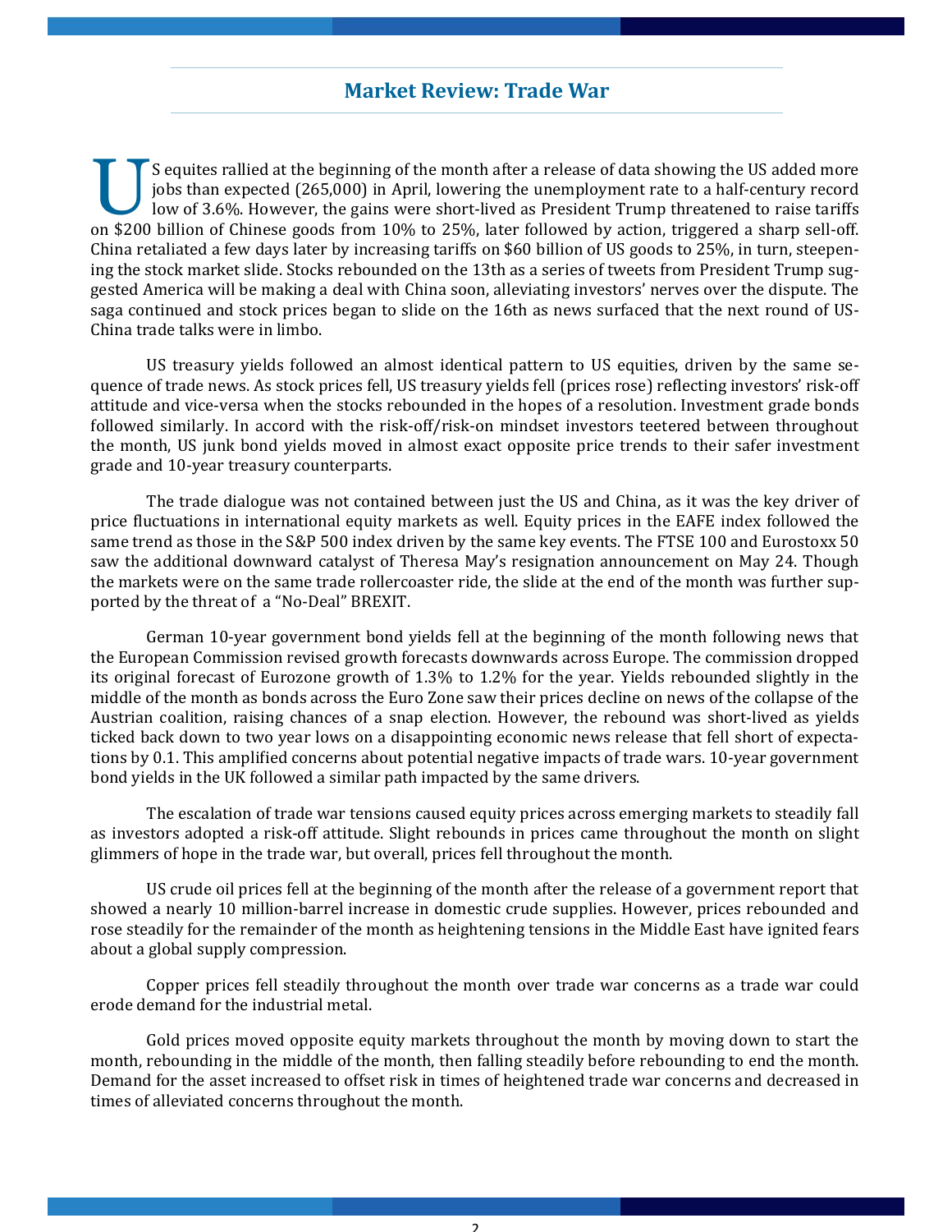### **Market Review: Trade War**

S equites rallied at the beginning of the month after a release of data showing the US added more jobs than expected (265,000) in April, lowering the unemployment rate to a half-century record low of 3.6%. However, the gains were short-lived as President Trump threatened to raise tariffs on \$200 billion of Chinese goods from 10% to 25%, later followed by action, triggered a sharp sell-off. China retaliated a few days later by increasing tariffs on \$60 billion of US goods to 25%, in turn, steepening the stock market slide. Stocks rebounded on the 13th as a series of tweets from President Trump suggested America will be making a deal with China soon, alleviating investors' nerves over the dispute. The saga continued and stock prices began to slide on the 16th as news surfaced that the next round of US-China trade talks were in limbo.

US treasury yields followed an almost identical pattern to US equities, driven by the same sequence of trade news. As stock prices fell, US treasury yields fell (prices rose) reflecting investors' risk-off attitude and vice-versa when the stocks rebounded in the hopes of a resolution. Investment grade bonds followed similarly. In accord with the risk-off/risk-on mindset investors teetered between throughout the month, US junk bond yields moved in almost exact opposite price trends to their safer investment grade and 10-year treasury counterparts.

The trade dialogue was not contained between just the US and China, as it was the key driver of price fluctuations in international equity markets as well. Equity prices in the EAFE index followed the same trend as those in the S&P 500 index driven by the same key events. The FTSE 100 and Eurostoxx 50 saw the additional downward catalyst of Theresa May's resignation announcement on May 24. Though the markets were on the same trade rollercoaster ride, the slide at the end of the month was further supported by the threat of a "No-Deal" BREXIT.

German 10-year government bond yields fell at the beginning of the month following news that the European Commission revised growth forecasts downwards across Europe. The commission dropped its original forecast of Eurozone growth of  $1.3\%$  to  $1.2\%$  for the year. Yields rebounded slightly in the middle of the month as bonds across the Euro Zone saw their prices decline on news of the collapse of the Austrian coalition, raising chances of a snap election. However, the rebound was short-lived as yields ticked back down to two year lows on a disappointing economic news release that fell short of expectations by 0.1. This amplified concerns about potential negative impacts of trade wars. 10-year government bond yields in the UK followed a similar path impacted by the same drivers.

The escalation of trade war tensions caused equity prices across emerging markets to steadily fall as investors adopted a risk-off attitude. Slight rebounds in prices came throughout the month on slight glimmers of hope in the trade war, but overall, prices fell throughout the month.

US crude oil prices fell at the beginning of the month after the release of a government report that showed a nearly 10 million-barrel increase in domestic crude supplies. However, prices rebounded and rose steadily for the remainder of the month as heightening tensions in the Middle East have ignited fears about a global supply compression.

Copper prices fell steadily throughout the month over trade war concerns as a trade war could erode demand for the industrial metal.

Gold prices moved opposite equity markets throughout the month by moving down to start the month, rebounding in the middle of the month, then falling steadily before rebounding to end the month. Demand for the asset increased to offset risk in times of heightened trade war concerns and decreased in times of alleviated concerns throughout the month.

 $\mathcal{L}$